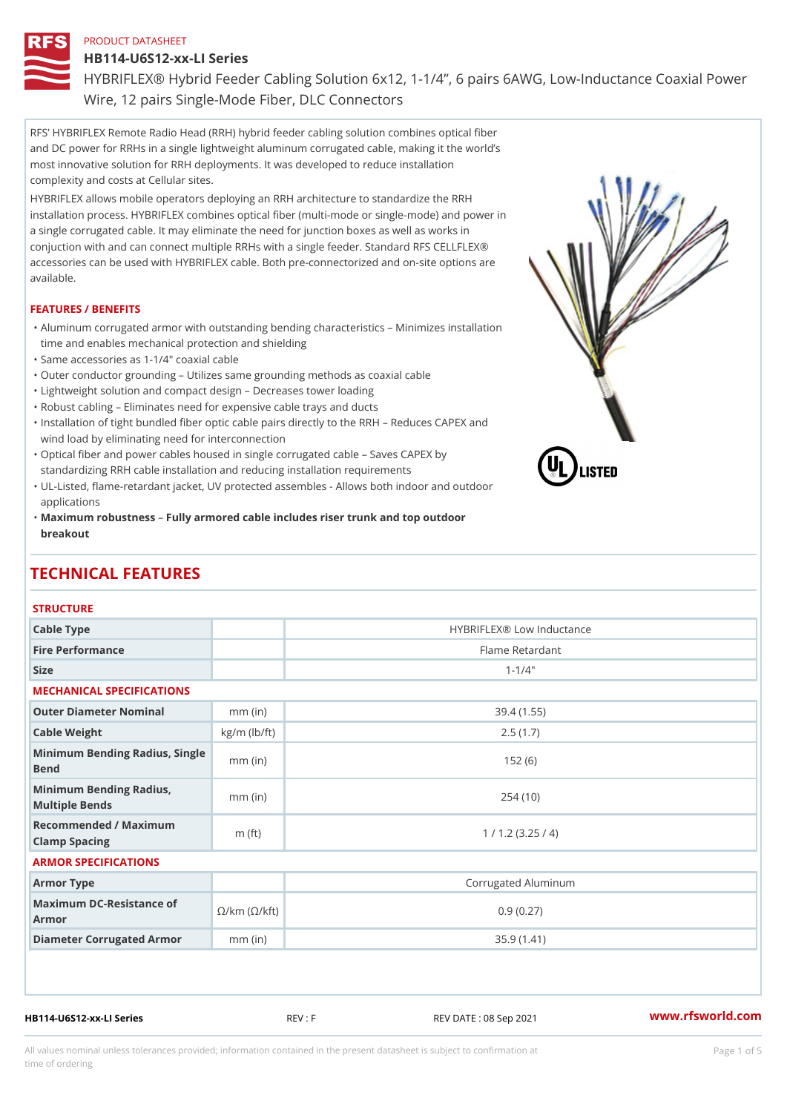HB114-U6S12-xx-LI Series HYBRIFLEX® Hybrid Feeder Cabling Solution 6x12, 1-1/4, 6 pairs 6AW Wire, 12 pairs Single-Mode Fiber, DLC Connectors

RFS HYBRIFLEX Remote Radio Head (RRH) hybrid feeder cabling solution combines optical fiber and DC power for RRHs in a single lightweight aluminum corrugated cable, making it the world s most innovative solution for RRH deployments. It was developed to reduce installation complexity and costs at Cellular sites.

HYBRIFLEX allows mobile operators deploying an RRH architecture to standardize the RRH installation process. HYBRIFLEX combines optical fiber (multi-mode or single-mode) and power in a single corrugated cable. It may eliminate the need for junction boxes as well as works in conjuction with and can connect multiple RRHs with a single feeder. Standard RFS CELLFLEX® accessories can be used with HYBRIFLEX cable. Both pre-connectorized and on-site options are available.

## FEATURES / BENEFITS

Aluminum corrugated armor with outstanding bending characteristics Minimizes installation " time and enables mechanical protection and shielding

- "Same accessories as 1-1/4" coaxial cable
- "Outer conductor grounding Utilizes same grounding methods as coaxial cable
- "Lightweight solution and compact design Decreases tower loading
- "Robust cabling Eliminates need for expensive cable trays and ducts
- "Installation of tight bundled fiber optic cable pairs directly to the RRH Reduces CAPEX and wind load by eliminating need for interconnection
- Optical fiber and power cables housed in single corrugated cable Saves CAPEX by "
- standardizing RRH cable installation and reducing installation requirements
- UL-Listed, flame-retardant jacket, UV protected assembles Allows both indoor and outdoor " applications
- "Maximum robustn Feus by armored cable includes riser trunk and top outdoor breakout

# TECHNICAL FEATURES

## **STRUCTURE**

| Cable Type                                        |                    | HYBRIFLEX® Low Inductance |  |  |  |  |  |
|---------------------------------------------------|--------------------|---------------------------|--|--|--|--|--|
| Fire Performance                                  |                    | Flame Retardant           |  |  |  |  |  |
| Size                                              |                    | $1 - 1/4$ "               |  |  |  |  |  |
| MECHANICAL SPECIFICATIONS                         |                    |                           |  |  |  |  |  |
| Outer Diameter Nominal                            | mm (in)            | 39.4(1.55)                |  |  |  |  |  |
| Cable Weight                                      | $kg/m$ ( $lb/ft$ ) | 2.5(1.7)                  |  |  |  |  |  |
| Minimum Bending Radius, Single<br>Bend            |                    | 152(6)                    |  |  |  |  |  |
| Minimum Bending Radius, mm (in)<br>Multiple Bends |                    | 254(10)                   |  |  |  |  |  |
| Recommended / Maximum<br>Clamp Spacing            | m $({\it ft})$     | 1 / 1.2 (3.25 / 4)        |  |  |  |  |  |
| ARMOR SPECIFICATIONS                              |                    |                           |  |  |  |  |  |
| Armor Type                                        |                    | Corrugated Aluminum       |  |  |  |  |  |
| Maximum DC-Resistance of km (©/kft)<br>Armor      |                    | 0.9(0.27)                 |  |  |  |  |  |
| Diameter Corrugated Armomm (in)                   |                    | 35.9(1.41)                |  |  |  |  |  |
|                                                   |                    |                           |  |  |  |  |  |

HB114-U6S12-xx-LI Series REV : F REV DATE : 08 Sep 2021 [www.](https://www.rfsworld.com)rfsworld.com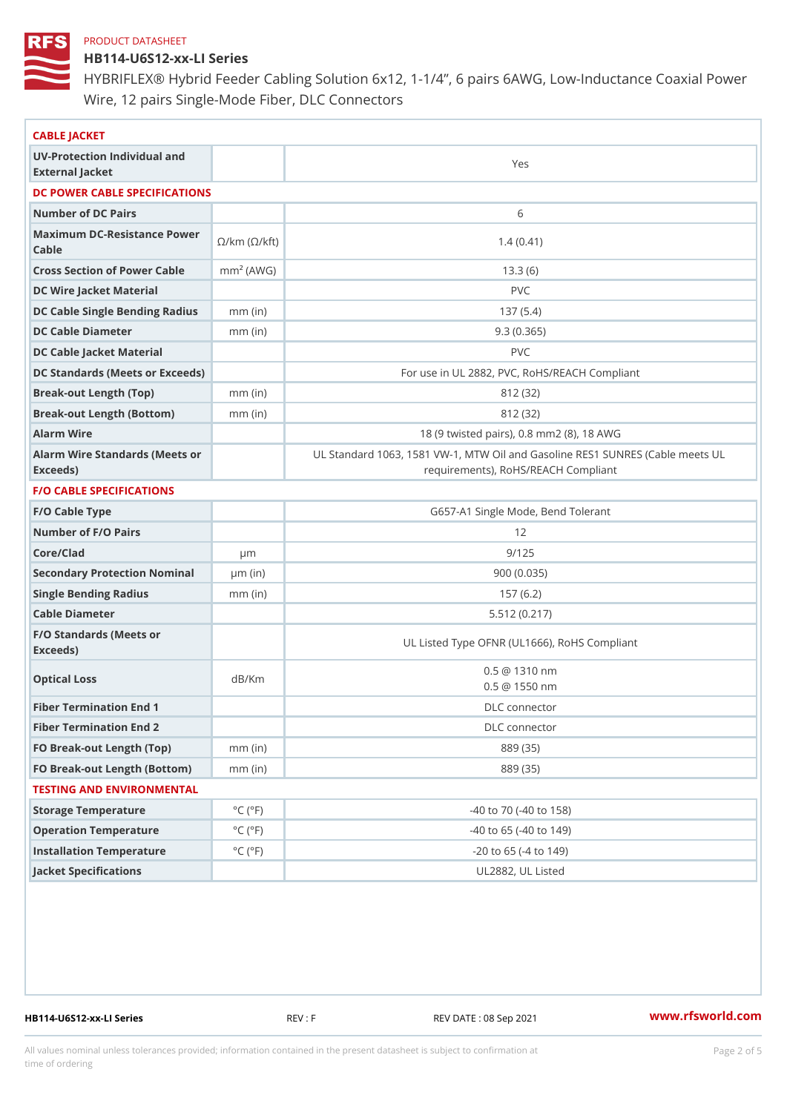# HB114-U6S12-xx-LI Series

HYBRIFLEX® Hybrid Feeder Cabling Solution 6x12, 1-1/4, 6 pairs 6AW Wire, 12 pairs Single-Mode Fiber, DLC Connectors

| CABLE JACKET                                         |                             |                                                                                                  |  |  |  |  |
|------------------------------------------------------|-----------------------------|--------------------------------------------------------------------------------------------------|--|--|--|--|
| UV-Protection Individual and<br>External Jacket      |                             | Yes                                                                                              |  |  |  |  |
| DC POWER CABLE SPECIFICATIONS                        |                             |                                                                                                  |  |  |  |  |
| Number of DC Pairs                                   |                             | 6                                                                                                |  |  |  |  |
| Maximum DC-Resistance Power<br>©/km (©/kft)<br>Cable |                             | 1.4(0.41)                                                                                        |  |  |  |  |
| Cross Section of Power Cnamb Pe (A W G)              |                             | 13.3(6)                                                                                          |  |  |  |  |
| DC Wire Jacket Material                              |                             | PVC                                                                                              |  |  |  |  |
| DC Cable Single Bending Rhandi(uish)                 |                             | 137(5.4)                                                                                         |  |  |  |  |
| DC Cable Diameter                                    | $mm$ (in)                   | 9.3(0.365)                                                                                       |  |  |  |  |
| DC Cable Jacket Material                             |                             | PVC                                                                                              |  |  |  |  |
| DC Standards (Meets or Exceeds)                      |                             | For use in UL 2882, PVC, RoHS/REACH Compliant                                                    |  |  |  |  |
| Break-out Length (Top)                               | $mm$ (in)                   | 812 (32)                                                                                         |  |  |  |  |
| Break-out Length (Bottcm)mm (in)                     |                             | 812 (32)                                                                                         |  |  |  |  |
| Alarm Wire                                           |                             | 18 (9 twisted pairs), 0.8 mm2 (8), 18 AWG                                                        |  |  |  |  |
| Alarm Wire Standards (Meets or<br>Exceeds)           |                             | UL Standard 1063, 1581 VW-1, MTW Oil and Gasoline RES1 SU<br>requirements), RoHS/REACH Compliant |  |  |  |  |
| <b>F/O CABLE SPECIFICATIONS</b>                      |                             |                                                                                                  |  |  |  |  |
| F/O Cable Type                                       |                             | G657-A1 Single Mode, Bend Tolerant                                                               |  |  |  |  |
| Number of F/O Pairs                                  |                             | 12                                                                                               |  |  |  |  |
| Core/Clad                                            | µ m                         | 9/125                                                                                            |  |  |  |  |
| Secondary Protection Nomimal(in)                     |                             | 900(0.035)                                                                                       |  |  |  |  |
| Single Bending Radius                                | $mm$ (in)                   | 157(6.2)                                                                                         |  |  |  |  |
| Cable Diameter                                       |                             | 5.512(0.217)                                                                                     |  |  |  |  |
| F/O Standards (Meets or<br>Exceeds)                  |                             | UL Listed Type OFNR (UL1666), RoHS Compliant                                                     |  |  |  |  |
| Optical Loss                                         | dB/Km                       | $0.5 \t@ 1310 nm$<br>$0.5 \t@ 1550 nm$                                                           |  |  |  |  |
| Fiber Termination End                                |                             | DLC connector                                                                                    |  |  |  |  |
| Fiber Termination End 2                              |                             | DLC connector                                                                                    |  |  |  |  |
| FO Break-out Length (Top)mm (in)                     |                             | 889 (35)                                                                                         |  |  |  |  |
| FO Break-out Length (Bottomm) (in)                   |                             | 889 (35)                                                                                         |  |  |  |  |
| TESTING AND ENVIRONMENTAL                            |                             |                                                                                                  |  |  |  |  |
| Storage Temperature                                  | $^{\circ}$ C ( $^{\circ}$ F | $-40$ to $70$ ( $-40$ to $158$ )                                                                 |  |  |  |  |
| Operation Temperature                                | $^{\circ}$ C ( $^{\circ}$ F | $-40$ to $65$ ( $-40$ to $149$ )                                                                 |  |  |  |  |
| Installation Temperature                             | $^{\circ}$ C ( $^{\circ}$ F | $-20$ to $65$ ( $-4$ to $149$ )                                                                  |  |  |  |  |
| Jacket Specifications                                |                             | UL2882, UL Listed                                                                                |  |  |  |  |
|                                                      |                             |                                                                                                  |  |  |  |  |

HB114-U6S12-xx-LI Series REV : F REV DATE : 08 Sep 2021 [www.](https://www.rfsworld.com)rfsworld.com

All values nominal unless tolerances provided; information contained in the present datasheet is subject to Pcapgelio an stio time of ordering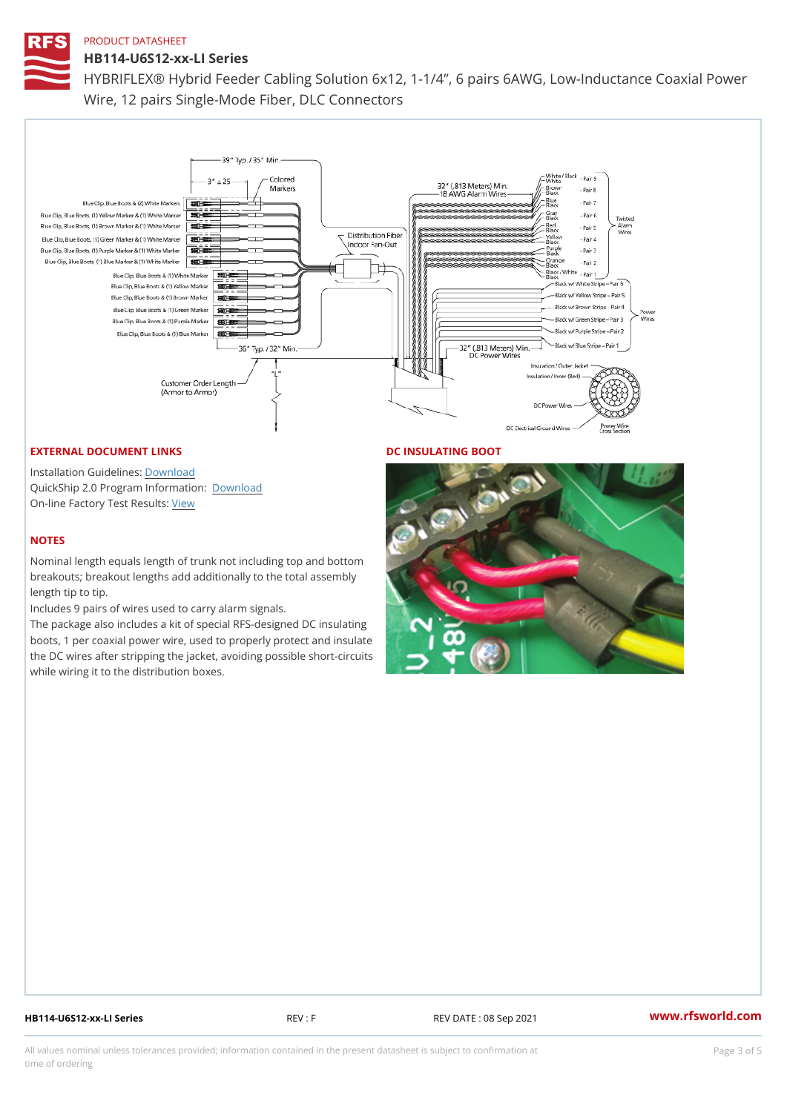#### HB114-U6S12-xx-LI Series

HYBRIFLEX® Hybrid Feeder Cabling Solution 6x12, 1-1/4, 6 pairs 6AW Wire, 12 pairs Single-Mode Fiber, DLC Connectors

## EXTERNAL DOCUMENT LINKS

DC INSULATING BOOT

Installation Guidelwinessad QuickShip 2.0 Program IDfoowmlation: On-line Factory Te[s](https://www.rfsworld.com/pictures/userfiles/programs/AAST Latest Version.zip)teRvesults:

#### NOTES

Nominal length equals length of trunk not including top and bottom breakouts; breakout lengths add additionally to the total assembly length tip to tip.

Includes 9 pairs of wires used to carry alarm signals.

The package also includes a kit of special RFS-designed DC insulating boots, 1 per coaxial power wire, used to properly protect and insulate the DC wires after stripping the jacket, avoiding possible short-circuits while wiring it to the distribution boxes.

HB114-U6S12-xx-LI Series REV : F REV DATE : 08 Sep 2021 [www.](https://www.rfsworld.com)rfsworld.com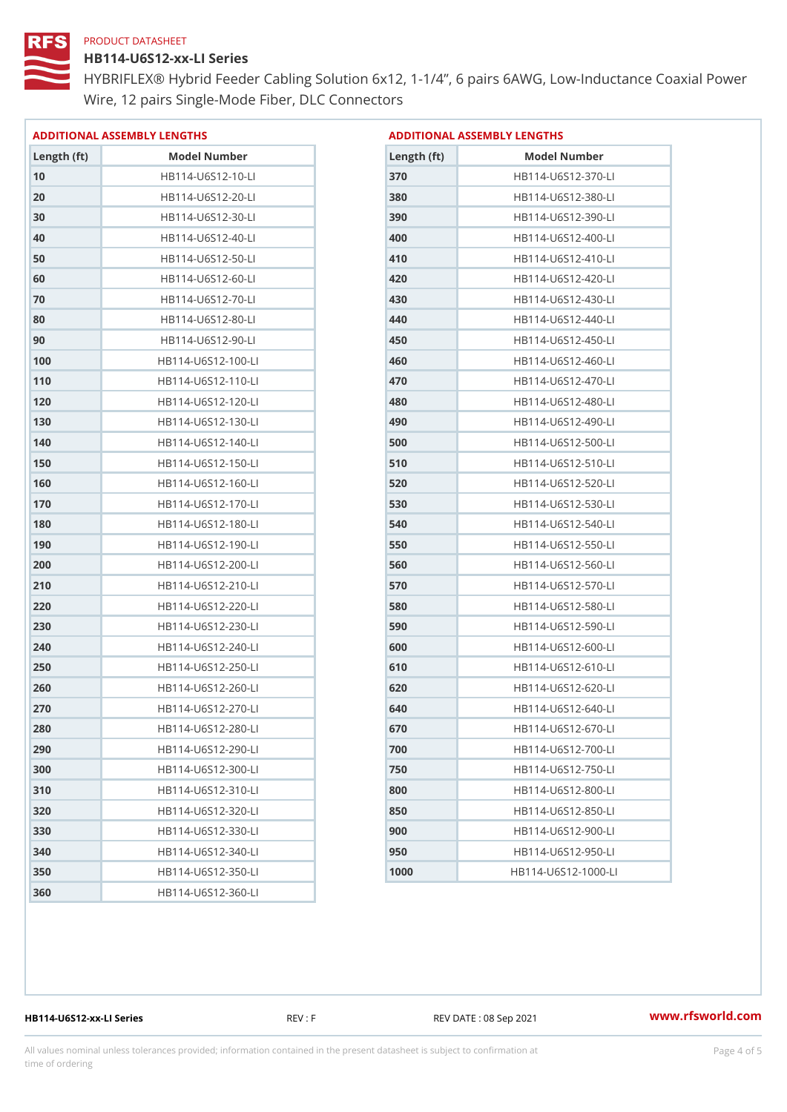# HB114-U6S12-xx-LI Series

HYBRIFLEX® Hybrid Feeder Cabling Solution 6x12, 1-1/4, 6 pairs 6AW Wire, 12 pairs Single-Mode Fiber, DLC Connectors

| ADDITIONAL ASSEMBLY LENGTHS |                          |  |  |  |  |
|-----------------------------|--------------------------|--|--|--|--|
| $L$ ength (ft)              | Model Number             |  |  |  |  |
| 10                          | HB114-U6S12-10-LI        |  |  |  |  |
| 20                          |                          |  |  |  |  |
| 30                          |                          |  |  |  |  |
| 40                          | HB114-U6S12-40-LI        |  |  |  |  |
| 50                          |                          |  |  |  |  |
| 60                          | HB114-U6S12-60-LI        |  |  |  |  |
| 70                          | HB114-U6S12-70-LI        |  |  |  |  |
| 80                          |                          |  |  |  |  |
| 90                          | HB114-U6S12-90-LI        |  |  |  |  |
| 100                         |                          |  |  |  |  |
| 110                         | HB114-U6S12-110-LI       |  |  |  |  |
| 120                         |                          |  |  |  |  |
| 130                         |                          |  |  |  |  |
| 140                         | HB114-U6S12-140-LI       |  |  |  |  |
| 150                         |                          |  |  |  |  |
| 160                         | HB114-U6S12-160-LI       |  |  |  |  |
| 170                         | HB114-U6S12-170-LI       |  |  |  |  |
| 180                         | HB114-U6S12-180-LI       |  |  |  |  |
| 190                         |                          |  |  |  |  |
| 200                         |                          |  |  |  |  |
| 210                         | HB114-U6S12-210-LI       |  |  |  |  |
| 220                         |                          |  |  |  |  |
| 230                         |                          |  |  |  |  |
| 240                         |                          |  |  |  |  |
| 250                         | HB114-U6S12-250-LI       |  |  |  |  |
| 260                         | HB114 - U6S12 - 260 - LI |  |  |  |  |
| 270                         | HB114-U6S12-270-LI       |  |  |  |  |
| 280                         | HB114-U6S12-280-LI       |  |  |  |  |
| 290                         |                          |  |  |  |  |
| 300                         | HB114-U6S12-300-LI       |  |  |  |  |
| 310                         |                          |  |  |  |  |
| 320                         |                          |  |  |  |  |
| 330                         |                          |  |  |  |  |
| 340                         |                          |  |  |  |  |
| 350                         | HB114-U6S12-350-LI       |  |  |  |  |
| 360                         | HB114-U6S12-360-LI       |  |  |  |  |

|             | ADDITIONAL ASSEMBLY LENGTHS |
|-------------|-----------------------------|
| Length (it) | Model Number                |
| 370         | HB114-U6S12-370-LI          |
| 380         | HB114 - U6S12 - 380 - LI    |
| 390         | HB114-U6S12-390-LI          |
| 400         | HB114-U6S12-400-LI          |
| 410         | HB114 - U6S12 - 410 - LI    |
| 420         | HB114-U6S12-420-LI          |
| 430         | HB114-U6S12-430-LI          |
| 440         | HB114-U6S12-440-LI          |
| 450         | HB114 - U6S12 - 450 - LI    |
| 460         | HB114-U6S12-460-LI          |
| 470         | HB114-U6S12-470-LI          |
| 480         | HB114-U6S12-480-LI          |
| 490         | HB114-U6S12-490-LI          |
| 500         | HB114-U6S12-500-LI          |
| 510         | HB114 - U6S12 - 510 - LI    |
| 520         | HB114-U6S12-520-LI          |
| 530         | HB114-U6S12-530-LI          |
| 540         | HB114 - U6S12 - 540 - LI    |
| 550         | HB114-U6S12-550-LI          |
| 560         |                             |
| 570         | HB114 - U6S12 - 570 - LI    |
| 580         | HB114-U6S12-580-LI          |
| 590         | HB114-U6S12-590-LI          |
| 600         | HB114-U6S12-600-LI          |
| 610         | HB114 - U6S12 - 610 - LI    |
| 620         | HB114 - U6S12 - 620 - LI    |
| 640         |                             |
| 670         | HB114-U6S12-670-LI          |
| 700         | HB114-U6S12-700-LI          |
| 750         | HB114-U6S12-750-LI          |
| 800         | HB114 - U6S12 - 800 - LI    |
| 850         |                             |
| 900         | HB114-U6S12-900-LI          |
| 950         | HB114 - U6S12 - 950 - LI    |
| 1000        | HB114-U6S12-1000-LI         |

HB114-U6S12-xx-LI Series REV : F REV DATE : 08 Sep 2021 WWW.rfsworld.com

All values nominal unless tolerances provided; information contained in the present datasheet is subject to Pcapgnéig4m ssti time of ordering